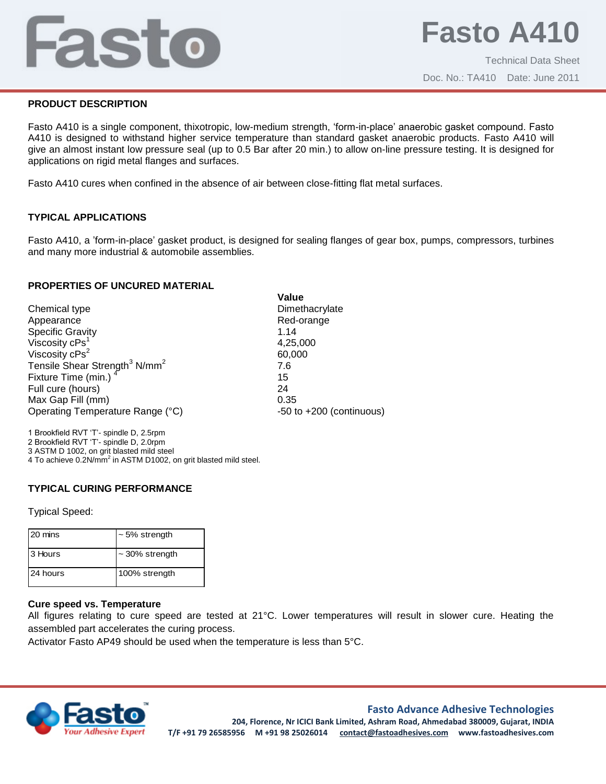# Fasto

# **PRODUCT DESCRIPTION**

Fasto A410 is a single component, thixotropic, low-medium strength, 'form-in-place' anaerobic gasket compound. Fasto A410 is designed to withstand higher service temperature than standard gasket anaerobic products. Fasto A410 will give an almost instant low pressure seal (up to 0.5 Bar after 20 min.) to allow on-line pressure testing. It is designed for applications on rigid metal flanges and surfaces.

Fasto A410 cures when confined in the absence of air between close-fitting flat metal surfaces.

# **TYPICAL APPLICATIONS**

Fasto A410, a 'form-in-place' gasket product, is designed for sealing flanges of gear box, pumps, compressors, turbines and many more industrial & automobile assemblies.

**Value**

### **PROPERTIES OF UNCURED MATERIAL**

Chemical type **Dimethacrylate** Dimethacrylate Appearance **Red-orange** Red-orange Specific Gravity 1.14 Viscosity cPs<sup>1</sup> Viscosity cPs<sup>2</sup> Tensile Shear Strength<sup>3</sup> N/mm<sup>2</sup> 7.6 Fixture Time (min.)<sup>4</sup> Full cure (hours) 24 Max Gap Fill (mm) 0.35 Operating Temperature Range (°C) -50 to +200 (continuous)

4,25,000 60,000 15

1 Brookfield RVT 'T'- spindle D, 2.5rpm 2 Brookfield RVT 'T'- spindle D, 2.0rpm 3 ASTM D 1002, on grit blasted mild steel 4 To achieve 0.2N/mm<sup>2</sup> in ASTM D1002, on grit blasted mild steel.

### **TYPICAL CURING PERFORMANCE**

Typical Speed:

| 20 mins  | $\sim$ 5% strength  |
|----------|---------------------|
| 3 Hours  | $\sim$ 30% strength |
| 24 hours | 100% strength       |

### **Cure speed vs. Temperature**

All figures relating to cure speed are tested at 21°C. Lower temperatures will result in slower cure. Heating the assembled part accelerates the curing process.

Activator Fasto AP49 should be used when the temperature is less than 5°C.



### **Fasto Advance Adhesive Technologies**

**204, Florence, Nr ICICI Bank Limited, Ashram Road, Ahmedabad 380009, Gujarat, INDIA T/F +91 79 26585956 M +91 98 25026014 contact@fastoadhesives.com www.fastoadhesives.com**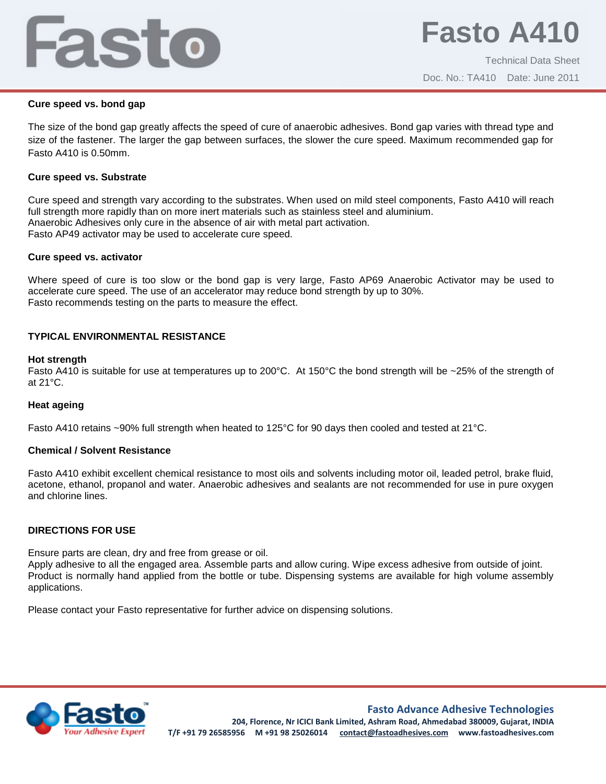# Fasto

### **Cure speed vs. bond gap**

The size of the bond gap greatly affects the speed of cure of anaerobic adhesives. Bond gap varies with thread type and size of the fastener. The larger the gap between surfaces, the slower the cure speed. Maximum recommended gap for Fasto A410 is 0.50mm.

### **Cure speed vs. Substrate**

Cure speed and strength vary according to the substrates. When used on mild steel components, Fasto A410 will reach full strength more rapidly than on more inert materials such as stainless steel and aluminium. Anaerobic Adhesives only cure in the absence of air with metal part activation. Fasto AP49 activator may be used to accelerate cure speed.

# **Cure speed vs. activator**

Where speed of cure is too slow or the bond gap is very large, Fasto AP69 Anaerobic Activator may be used to accelerate cure speed. The use of an accelerator may reduce bond strength by up to 30%. Fasto recommends testing on the parts to measure the effect.

# **TYPICAL ENVIRONMENTAL RESISTANCE**

### **Hot strength**

Fasto A410 is suitable for use at temperatures up to 200°C. At 150°C the bond strength will be ~25% of the strength of at 21°C.

### **Heat ageing**

Fasto A410 retains ~90% full strength when heated to 125°C for 90 days then cooled and tested at 21°C.

### **Chemical / Solvent Resistance**

Fasto A410 exhibit excellent chemical resistance to most oils and solvents including motor oil, leaded petrol, brake fluid, acetone, ethanol, propanol and water. Anaerobic adhesives and sealants are not recommended for use in pure oxygen and chlorine lines.

# **DIRECTIONS FOR USE**

Ensure parts are clean, dry and free from grease or oil.

Apply adhesive to all the engaged area. Assemble parts and allow curing. Wipe excess adhesive from outside of joint. Product is normally hand applied from the bottle or tube. Dispensing systems are available for high volume assembly applications.

Please contact your Fasto representative for further advice on dispensing solutions.



**Fasto Advance Adhesive Technologies**

**204, Florence, Nr ICICI Bank Limited, Ashram Road, Ahmedabad 380009, Gujarat, INDIA T/F +91 79 26585956 M +91 98 25026014 contact@fastoadhesives.com www.fastoadhesives.com**